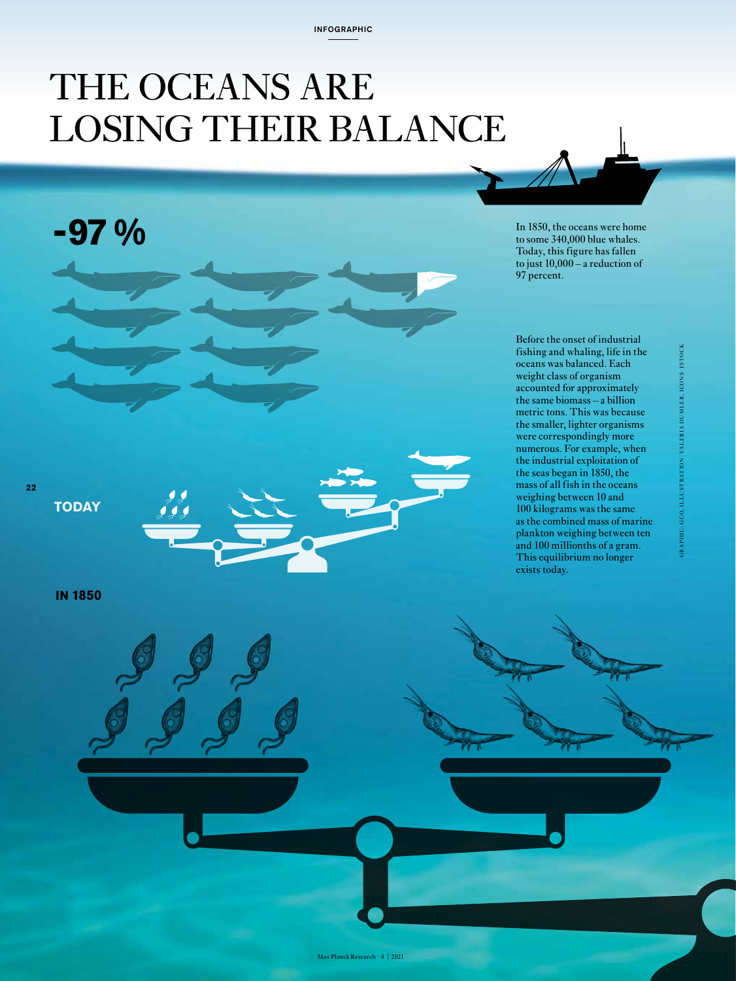## THE OCEANS ARE LOSING THEIR BALANCE

**-97 %**

In 1850, the oceans were home to some 340,000 blue whales. Today, this figure has fallen to just 10,000 – a reduction of 97 percent.

Before the onset of industrial fishing and whaling, life in the oceans was balanced. Each weight class of organism accounted for approximately the same biomass – a billion metric tons. This was because the smaller, lighter organisms were correspondingly more numerous. For example, when the industrial exploitation of the seas began in 1850, the mass of all fish in the oceans weighing between 10 and 100 kilograms was the same as the combined mass of marine plankton weighing between ten and 100 millionths of a gram. This equilibrium no longer exists today.

**ISTOCK** GR APHIC: GCO, ILLUSTR ATION: VALER IA DUMLER, ICONS: ISTOCK DUMLER, ICONS: **VALERIA** TRATION:

**22**

**TODAY**

**IN 1850**